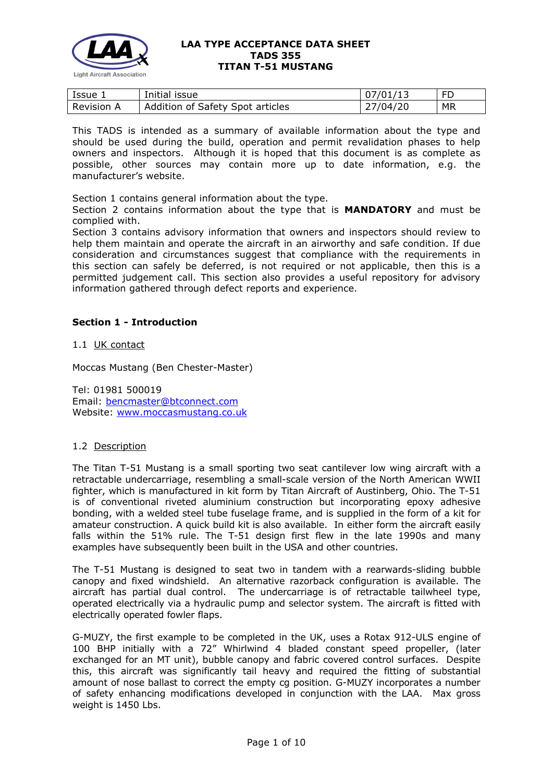

| Issue 1    | Initial issue                    | 107/01/13 | FD |
|------------|----------------------------------|-----------|----|
| Revision A | Addition of Safety Spot articles | 27/04/20  | МR |

This TADS is intended as a summary of available information about the type and should be used during the build, operation and permit revalidation phases to help owners and inspectors. Although it is hoped that this document is as complete as possible, other sources may contain more up to date information, e.g. the manufacturer's website.

Section 1 contains general information about the type.

Section 2 contains information about the type that is **MANDATORY** and must be complied with.

Section 3 contains advisory information that owners and inspectors should review to help them maintain and operate the aircraft in an airworthy and safe condition. If due consideration and circumstances suggest that compliance with the requirements in this section can safely be deferred, is not required or not applicable, then this is a permitted judgement call. This section also provides a useful repository for advisory information gathered through defect reports and experience.

## **Section 1 - Introduction**

1.1 UK contact

Moccas Mustang (Ben Chester-Master)

Tel: 01981 500019 Email: [bencmaster@btconnect.com](http://www.lightaircraftassociation.co.uk/engineering/TADs/bencmaster@btconnect.com) Website: [www.moccasmustang.co.uk](http://www.moccasmustang.co.uk/)

## 1.2 Description

The Titan T-51 Mustang is a small sporting two seat cantilever low wing aircraft with a retractable undercarriage, resembling a small-scale version of the North American WWII fighter, which is manufactured in kit form by Titan Aircraft of Austinberg, Ohio. The T-51 is of conventional riveted aluminium construction but incorporating epoxy adhesive bonding, with a welded steel tube fuselage frame, and is supplied in the form of a kit for amateur construction. A quick build kit is also available. In either form the aircraft easily falls within the 51% rule. The T-51 design first flew in the late 1990s and many examples have subsequently been built in the USA and other countries.

The T-51 Mustang is designed to seat two in tandem with a rearwards-sliding bubble canopy and fixed windshield. An alternative razorback configuration is available. The aircraft has partial dual control. The undercarriage is of retractable tailwheel type, operated electrically via a hydraulic pump and selector system. The aircraft is fitted with electrically operated fowler flaps.

G-MUZY, the first example to be completed in the UK, uses a Rotax 912-ULS engine of 100 BHP initially with a 72" Whirlwind 4 bladed constant speed propeller, (later exchanged for an MT unit), bubble canopy and fabric covered control surfaces. Despite this, this aircraft was significantly tail heavy and required the fitting of substantial amount of nose ballast to correct the empty cg position. G-MUZY incorporates a number of safety enhancing modifications developed in conjunction with the LAA. Max gross weight is 1450 Lbs.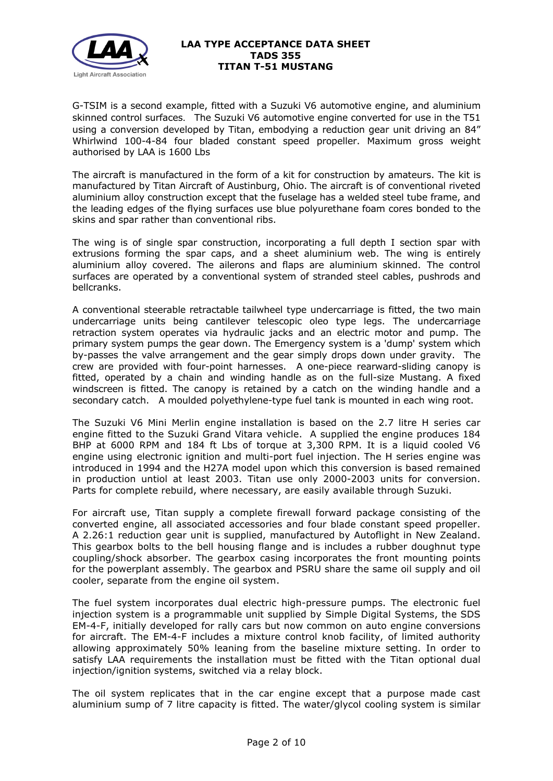

G-TSIM is a second example, fitted with a Suzuki V6 automotive engine, and aluminium skinned control surfaces. The Suzuki V6 automotive engine converted for use in the T51 using a conversion developed by Titan, embodying a reduction gear unit driving an 84" Whirlwind 100-4-84 four bladed constant speed propeller. Maximum gross weight authorised by LAA is 1600 Lbs

The aircraft is manufactured in the form of a kit for construction by amateurs. The kit is manufactured by Titan Aircraft of Austinburg, Ohio. The aircraft is of conventional riveted aluminium alloy construction except that the fuselage has a welded steel tube frame, and the leading edges of the flying surfaces use blue polyurethane foam cores bonded to the skins and spar rather than conventional ribs.

The wing is of single spar construction, incorporating a full depth I section spar with extrusions forming the spar caps, and a sheet aluminium web. The wing is entirely aluminium alloy covered. The ailerons and flaps are aluminium skinned. The control surfaces are operated by a conventional system of stranded steel cables, pushrods and bellcranks.

A conventional steerable retractable tailwheel type undercarriage is fitted, the two main undercarriage units being cantilever telescopic oleo type legs. The undercarriage retraction system operates via hydraulic jacks and an electric motor and pump. The primary system pumps the gear down. The Emergency system is a 'dump' system which by-passes the valve arrangement and the gear simply drops down under gravity. The crew are provided with four-point harnesses. A one-piece rearward-sliding canopy is fitted, operated by a chain and winding handle as on the full-size Mustang. A fixed windscreen is fitted. The canopy is retained by a catch on the winding handle and a secondary catch. A moulded polyethylene-type fuel tank is mounted in each wing root.

The Suzuki V6 Mini Merlin engine installation is based on the 2.7 litre H series car engine fitted to the Suzuki Grand Vitara vehicle. A supplied the engine produces 184 BHP at 6000 RPM and 184 ft Lbs of torque at 3,300 RPM. It is a liquid cooled V6 engine using electronic ignition and multi-port fuel injection. The H series engine was introduced in 1994 and the H27A model upon which this conversion is based remained in production untiol at least 2003. Titan use only 2000-2003 units for conversion. Parts for complete rebuild, where necessary, are easily available through Suzuki.

For aircraft use, Titan supply a complete firewall forward package consisting of the converted engine, all associated accessories and four blade constant speed propeller. A 2.26:1 reduction gear unit is supplied, manufactured by Autoflight in New Zealand. This gearbox bolts to the bell housing flange and is includes a rubber doughnut type coupling/shock absorber. The gearbox casing incorporates the front mounting points for the powerplant assembly. The gearbox and PSRU share the same oil supply and oil cooler, separate from the engine oil system.

The fuel system incorporates dual electric high-pressure pumps. The electronic fuel injection system is a programmable unit supplied by Simple Digital Systems, the SDS EM-4-F, initially developed for rally cars but now common on auto engine conversions for aircraft. The EM-4-F includes a mixture control knob facility, of limited authority allowing approximately 50% leaning from the baseline mixture setting. In order to satisfy LAA requirements the installation must be fitted with the Titan optional dual injection/ignition systems, switched via a relay block.

The oil system replicates that in the car engine except that a purpose made cast aluminium sump of 7 litre capacity is fitted. The water/glycol cooling system is similar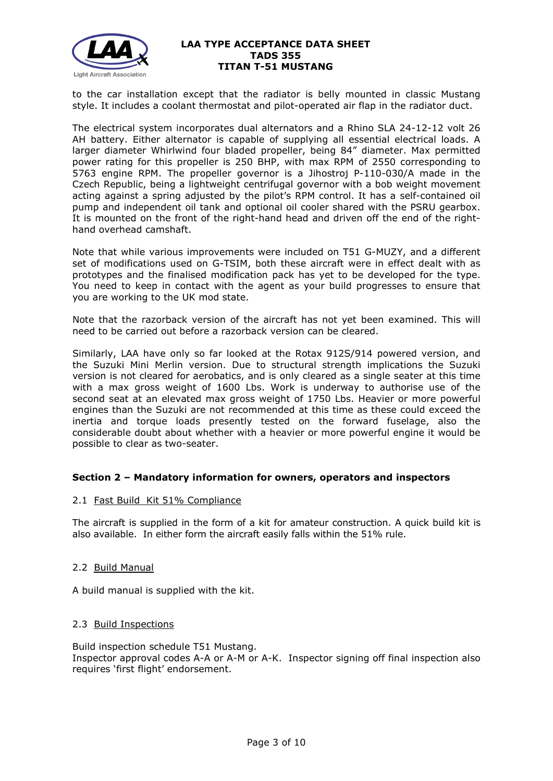

to the car installation except that the radiator is belly mounted in classic Mustang style. It includes a coolant thermostat and pilot-operated air flap in the radiator duct.

The electrical system incorporates dual alternators and a Rhino SLA 24-12-12 volt 26 AH battery. Either alternator is capable of supplying all essential electrical loads. A larger diameter Whirlwind four bladed propeller, being 84" diameter. Max permitted power rating for this propeller is 250 BHP, with max RPM of 2550 corresponding to 5763 engine RPM. The propeller governor is a Jihostroj P-110-030/A made in the Czech Republic, being a lightweight centrifugal governor with a bob weight movement acting against a spring adjusted by the pilot's RPM control. It has a self-contained oil pump and independent oil tank and optional oil cooler shared with the PSRU gearbox. It is mounted on the front of the right-hand head and driven off the end of the righthand overhead camshaft.

Note that while various improvements were included on T51 G-MUZY, and a different set of modifications used on G-TSIM, both these aircraft were in effect dealt with as prototypes and the finalised modification pack has yet to be developed for the type. You need to keep in contact with the agent as your build progresses to ensure that you are working to the UK mod state.

Note that the razorback version of the aircraft has not yet been examined. This will need to be carried out before a razorback version can be cleared.

Similarly, LAA have only so far looked at the Rotax 912S/914 powered version, and the Suzuki Mini Merlin version. Due to structural strength implications the Suzuki version is not cleared for aerobatics, and is only cleared as a single seater at this time with a max gross weight of 1600 Lbs. Work is underway to authorise use of the second seat at an elevated max gross weight of 1750 Lbs. Heavier or more powerful engines than the Suzuki are not recommended at this time as these could exceed the inertia and torque loads presently tested on the forward fuselage, also the considerable doubt about whether with a heavier or more powerful engine it would be possible to clear as two-seater.

## **Section 2 – Mandatory information for owners, operators and inspectors**

## 2.1 Fast Build Kit 51% Compliance

The aircraft is supplied in the form of a kit for amateur construction. A quick build kit is also available. In either form the aircraft easily falls within the 51% rule.

## 2.2 Build Manual

A build manual is supplied with the kit.

## 2.3 Build Inspections

Build inspection schedule T51 Mustang. Inspector approval codes A-A or A-M or A-K. Inspector signing off final inspection also requires 'first flight' endorsement.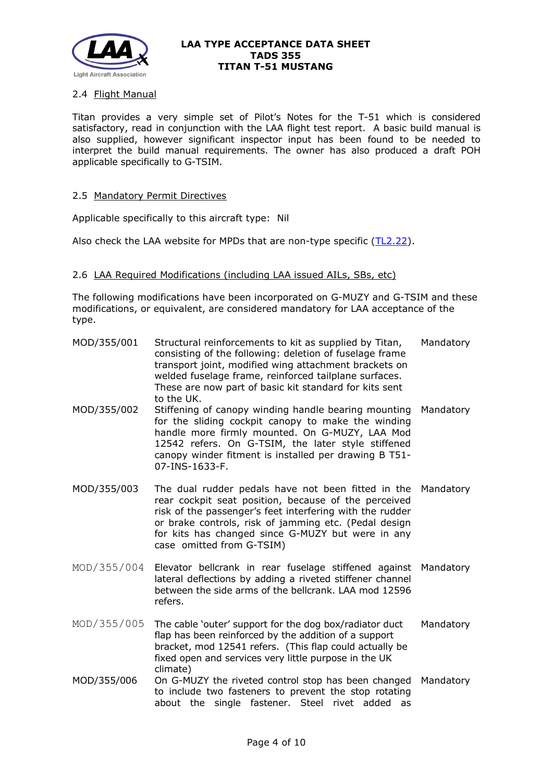

## 2.4 Flight Manual

Titan provides a very simple set of Pilot's Notes for the T-51 which is considered satisfactory, read in conjunction with the LAA flight test report. A basic build manual is also supplied, however significant inspector input has been found to be needed to interpret the build manual requirements. The owner has also produced a draft POH applicable specifically to G-TSIM.

## 2.5 Mandatory Permit Directives

Applicable specifically to this aircraft type: Nil

Also check the LAA website for MPDs that are non-type specific [\(TL2.22\)](http://www.lightaircraftassociation.co.uk/engineering/TechnicalLeaflets/Operating%20An%20Aircraft/TL%202.22%20non-type%20specific%20MPDs.pdf).

## 2.6 LAA Required Modifications (including LAA issued AILs, SBs, etc)

The following modifications have been incorporated on G-MUZY and G-TSIM and these modifications, or equivalent, are considered mandatory for LAA acceptance of the type.

| MOD/355/001 | Structural reinforcements to kit as supplied by Titan,<br>consisting of the following: deletion of fuselage frame<br>transport joint, modified wing attachment brackets on<br>welded fuselage frame, reinforced tailplane surfaces.<br>These are now part of basic kit standard for kits sent<br>to the UK.       | Mandatory |
|-------------|-------------------------------------------------------------------------------------------------------------------------------------------------------------------------------------------------------------------------------------------------------------------------------------------------------------------|-----------|
| MOD/355/002 | Stiffening of canopy winding handle bearing mounting<br>for the sliding cockpit canopy to make the winding<br>handle more firmly mounted. On G-MUZY, LAA Mod<br>12542 refers. On G-TSIM, the later style stiffened<br>canopy winder fitment is installed per drawing B T51-<br>07-INS-1633-F.                     | Mandatory |
| MOD/355/003 | The dual rudder pedals have not been fitted in the<br>rear cockpit seat position, because of the perceived<br>risk of the passenger's feet interfering with the rudder<br>or brake controls, risk of jamming etc. (Pedal design<br>for kits has changed since G-MUZY but were in any<br>case omitted from G-TSIM) | Mandatory |
| MOD/355/004 | Elevator bellcrank in rear fuselage stiffened against<br>lateral deflections by adding a riveted stiffener channel<br>between the side arms of the bellcrank. LAA mod 12596<br>refers.                                                                                                                            | Mandatory |
| MOD/355/005 | The cable 'outer' support for the dog box/radiator duct<br>flap has been reinforced by the addition of a support<br>bracket, mod 12541 refers. (This flap could actually be<br>fixed open and services very little purpose in the UK<br>climate)                                                                  | Mandatory |
| MOD/355/006 | On G-MUZY the riveted control stop has been changed<br>to include two fasteners to prevent the stop rotating<br>about the single fastener. Steel rivet added as                                                                                                                                                   | Mandatory |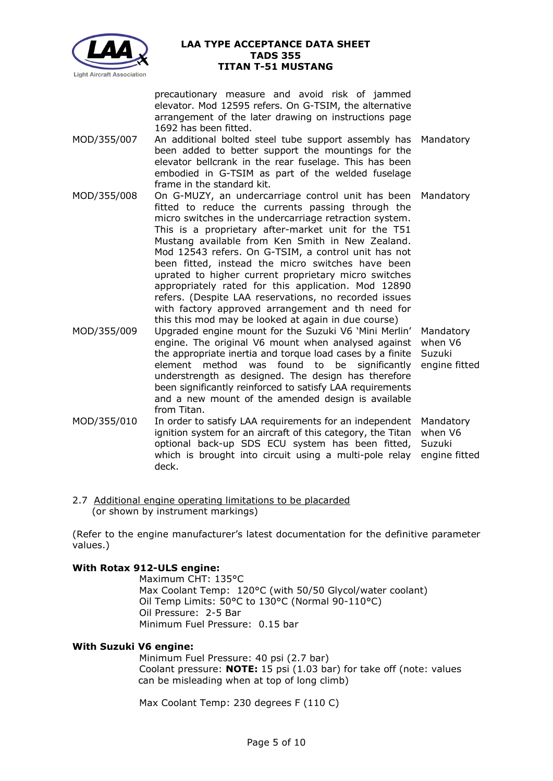

precautionary measure and avoid risk of jammed elevator. Mod 12595 refers. On G-TSIM, the alternative arrangement of the later drawing on instructions page 1692 has been fitted.

- MOD/355/007 An additional bolted steel tube support assembly has Mandatory been added to better support the mountings for the elevator bellcrank in the rear fuselage. This has been embodied in G-TSIM as part of the welded fuselage frame in the standard kit.
- MOD/355/008 On G-MUZY, an undercarriage control unit has been Mandatory fitted to reduce the currents passing through the micro switches in the undercarriage retraction system. This is a proprietary after-market unit for the T51 Mustang available from Ken Smith in New Zealand. Mod 12543 refers. On G-TSIM, a control unit has not been fitted, instead the micro switches have been uprated to higher current proprietary micro switches appropriately rated for this application. Mod 12890 refers. (Despite LAA reservations, no recorded issues with factory approved arrangement and th need for this this mod may be looked at again in due course)
- MOD/355/009 Upgraded engine mount for the Suzuki V6 'Mini Merlin' Mandatory engine. The original V6 mount when analysed against when V6 the appropriate inertia and torque load cases by a finite Suzuki element method was found to be significantly engine fitted understrength as designed. The design has therefore been significantly reinforced to satisfy LAA requirements and a new mount of the amended design is available from Titan.

MOD/355/010 In order to satisfy LAA requirements for an independent Mandatory ignition system for an aircraft of this category, the Titan when V6 optional back-up SDS ECU system has been fitted, Suzuki which is brought into circuit using a multi-pole relay engine fitted deck.

2.7 Additional engine operating limitations to be placarded (or shown by instrument markings)

(Refer to the engine manufacturer's latest documentation for the definitive parameter values.)

## **With Rotax 912-ULS engine:**

Maximum CHT: 135°C Max Coolant Temp: 120°C (with 50/50 Glycol/water coolant) Oil Temp Limits: 50°C to 130°C (Normal 90-110°C) Oil Pressure: 2-5 Bar Minimum Fuel Pressure: 0.15 bar

## **With Suzuki V6 engine:**

Minimum Fuel Pressure: 40 psi (2.7 bar) Coolant pressure: **NOTE:** 15 psi (1.03 bar) for take off (note: values can be misleading when at top of long climb)

Max Coolant Temp: 230 degrees F (110 C)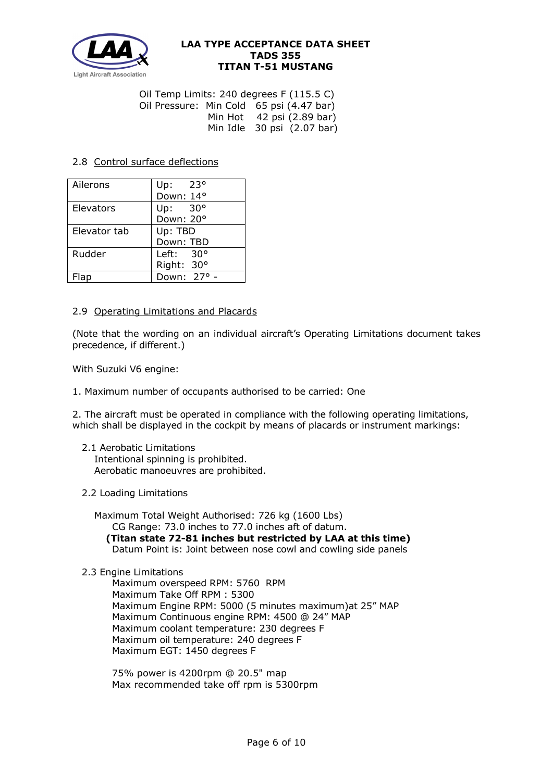

Oil Temp Limits: 240 degrees F (115.5 C) Oil Pressure: Min Cold 65 psi (4.47 bar) Min Hot 42 psi (2.89 bar) Min Idle  $30$  psi  $(2.07$  bar)

## 2.8 Control surface deflections

| Ailerons     | - 23°<br>Up:       |  |  |
|--------------|--------------------|--|--|
|              | Down: 14°          |  |  |
| Elevators    | Up: $30^{\circ}$   |  |  |
|              | Down: 20°          |  |  |
| Elevator tab | Up: TBD            |  |  |
|              | Down: TBD          |  |  |
| Rudder       | Left: $30^{\circ}$ |  |  |
|              | Right: 30°         |  |  |
|              | Down: 27° -        |  |  |

## 2.9 Operating Limitations and Placards

(Note that the wording on an individual aircraft's Operating Limitations document takes precedence, if different.)

With Suzuki V6 engine:

1. Maximum number of occupants authorised to be carried: One

2. The aircraft must be operated in compliance with the following operating limitations, which shall be displayed in the cockpit by means of placards or instrument markings:

- 2.1 Aerobatic Limitations Intentional spinning is prohibited. Aerobatic manoeuvres are prohibited.
- 2.2 Loading Limitations

 Maximum Total Weight Authorised: 726 kg (1600 Lbs) CG Range: 73.0 inches to 77.0 inches aft of datum. **(Titan state 72-81 inches but restricted by LAA at this time)** Datum Point is: Joint between nose cowl and cowling side panels

## 2.3 Engine Limitations

 Maximum overspeed RPM: 5760 RPM Maximum Take Off RPM : 5300 Maximum Engine RPM: 5000 (5 minutes maximum)at 25" MAP Maximum Continuous engine RPM: 4500 @ 24" MAP Maximum coolant temperature: 230 degrees F Maximum oil temperature: 240 degrees F Maximum EGT: 1450 degrees F

75% power is 4200rpm @ 20.5" map Max recommended take off rpm is 5300rpm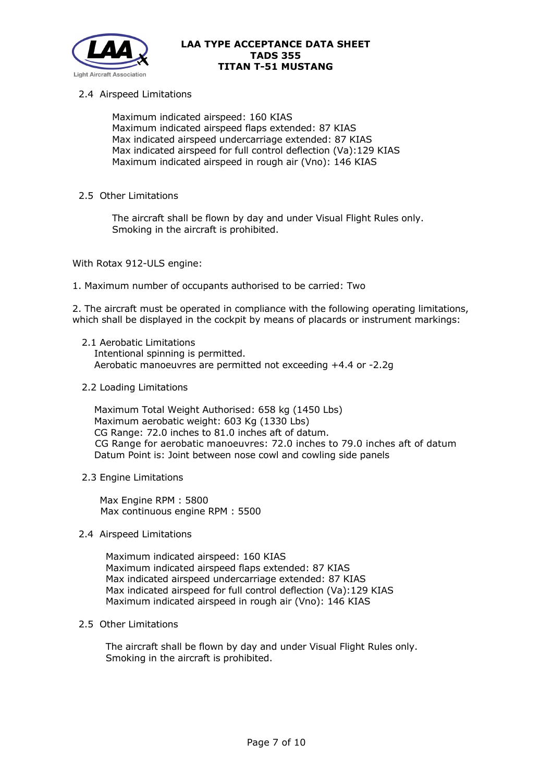

## 2.4 Airspeed Limitations

 Maximum indicated airspeed: 160 KIAS Maximum indicated airspeed flaps extended: 87 KIAS Max indicated airspeed undercarriage extended: 87 KIAS Max indicated airspeed for full control deflection (Va):129 KIAS Maximum indicated airspeed in rough air (Vno): 146 KIAS

### 2.5 Other Limitations

 The aircraft shall be flown by day and under Visual Flight Rules only. Smoking in the aircraft is prohibited.

With Rotax 912-ULS engine:

1. Maximum number of occupants authorised to be carried: Two

2. The aircraft must be operated in compliance with the following operating limitations, which shall be displayed in the cockpit by means of placards or instrument markings:

- 2.1 Aerobatic Limitations Intentional spinning is permitted. Aerobatic manoeuvres are permitted not exceeding +4.4 or -2.2g
- 2.2 Loading Limitations

 Maximum Total Weight Authorised: 658 kg (1450 Lbs) Maximum aerobatic weight: 603 Kg (1330 Lbs) CG Range: 72.0 inches to 81.0 inches aft of datum. CG Range for aerobatic manoeuvres: 72.0 inches to 79.0 inches aft of datum Datum Point is: Joint between nose cowl and cowling side panels

2.3 Engine Limitations

Max Engine RPM : 5800 Max continuous engine RPM : 5500

2.4 Airspeed Limitations

Maximum indicated airspeed: 160 KIAS Maximum indicated airspeed flaps extended: 87 KIAS Max indicated airspeed undercarriage extended: 87 KIAS Max indicated airspeed for full control deflection (Va):129 KIAS Maximum indicated airspeed in rough air (Vno): 146 KIAS

2.5 Other Limitations

The aircraft shall be flown by day and under Visual Flight Rules only. Smoking in the aircraft is prohibited.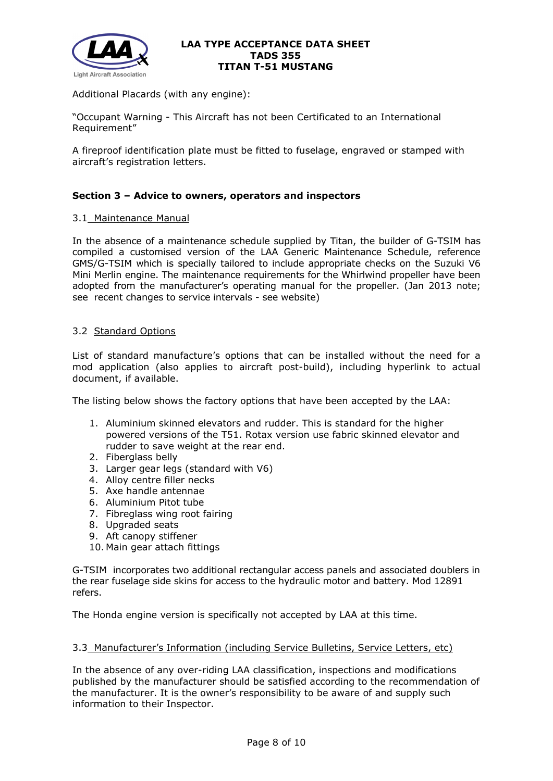

Additional Placards (with any engine):

"Occupant Warning - This Aircraft has not been Certificated to an International Requirement"

A fireproof identification plate must be fitted to fuselage, engraved or stamped with aircraft's registration letters.

## **Section 3 – Advice to owners, operators and inspectors**

### 3.1 Maintenance Manual

In the absence of a maintenance schedule supplied by Titan, the builder of G-TSIM has compiled a customised version of the LAA Generic Maintenance Schedule, reference GMS/G-TSIM which is specially tailored to include appropriate checks on the Suzuki V6 Mini Merlin engine. The maintenance requirements for the Whirlwind propeller have been adopted from the manufacturer's operating manual for the propeller. (Jan 2013 note; see recent changes to service intervals - see website)

### 3.2 Standard Options

List of standard manufacture's options that can be installed without the need for a mod application (also applies to aircraft post-build), including hyperlink to actual document, if available.

The listing below shows the factory options that have been accepted by the LAA:

- 1. Aluminium skinned elevators and rudder. This is standard for the higher powered versions of the T51. Rotax version use fabric skinned elevator and rudder to save weight at the rear end.
- 2. Fiberglass belly
- 3. Larger gear legs (standard with V6)
- 4. Alloy centre filler necks
- 5. Axe handle antennae
- 6. Aluminium Pitot tube
- 7. Fibreglass wing root fairing
- 8. Upgraded seats
- 9. Aft canopy stiffener
- 10. Main gear attach fittings

G-TSIM incorporates two additional rectangular access panels and associated doublers in the rear fuselage side skins for access to the hydraulic motor and battery. Mod 12891 refers.

The Honda engine version is specifically not accepted by LAA at this time.

#### 3.3 Manufacturer's Information (including Service Bulletins, Service Letters, etc)

In the absence of any over-riding LAA classification, inspections and modifications published by the manufacturer should be satisfied according to the recommendation of the manufacturer. It is the owner's responsibility to be aware of and supply such information to their Inspector.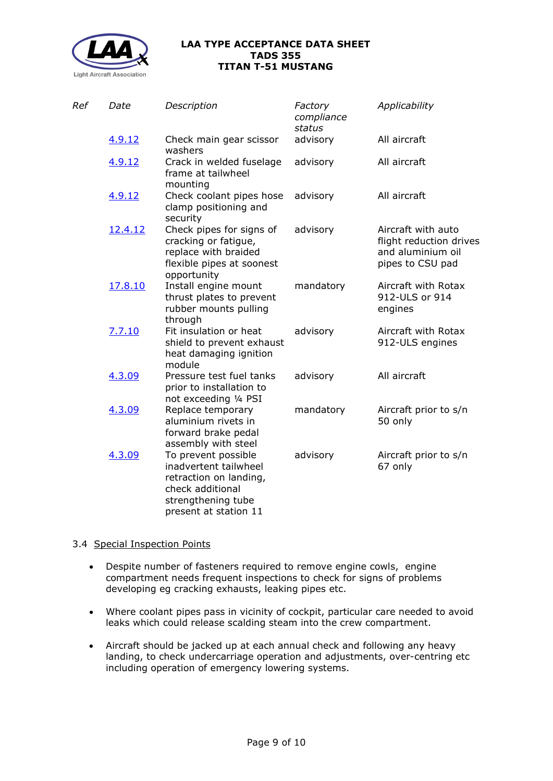

| Ref | Date    | Description                                                                                                                               | Factory<br>compliance<br>status | Applicability                                                                          |
|-----|---------|-------------------------------------------------------------------------------------------------------------------------------------------|---------------------------------|----------------------------------------------------------------------------------------|
|     | 4.9.12  | Check main gear scissor<br>washers                                                                                                        | advisory                        | All aircraft                                                                           |
|     | 4.9.12  | Crack in welded fuselage<br>frame at tailwheel<br>mounting                                                                                | advisory                        | All aircraft                                                                           |
|     | 4.9.12  | Check coolant pipes hose<br>clamp positioning and<br>security                                                                             | advisory                        | All aircraft                                                                           |
|     | 12.4.12 | Check pipes for signs of<br>cracking or fatigue,<br>replace with braided<br>flexible pipes at soonest<br>opportunity                      | advisory                        | Aircraft with auto<br>flight reduction drives<br>and aluminium oil<br>pipes to CSU pad |
|     | 17.8.10 | Install engine mount<br>thrust plates to prevent<br>rubber mounts pulling<br>through                                                      | mandatory                       | Aircraft with Rotax<br>912-ULS or 914<br>engines                                       |
|     | 7.7.10  | Fit insulation or heat<br>shield to prevent exhaust<br>heat damaging ignition<br>module                                                   | advisory                        | Aircraft with Rotax<br>912-ULS engines                                                 |
|     | 4.3.09  | Pressure test fuel tanks<br>prior to installation to<br>not exceeding 1/4 PSI                                                             | advisory                        | All aircraft                                                                           |
|     | 4.3.09  | Replace temporary<br>aluminium rivets in<br>forward brake pedal<br>assembly with steel                                                    | mandatory                       | Aircraft prior to s/n<br>50 only                                                       |
|     | 4.3.09  | To prevent possible<br>inadvertent tailwheel<br>retraction on landing,<br>check additional<br>strengthening tube<br>present at station 11 | advisory                        | Aircraft prior to s/n<br>67 only                                                       |

## 3.4 Special Inspection Points

- Despite number of fasteners required to remove engine cowls, engine compartment needs frequent inspections to check for signs of problems developing eg cracking exhausts, leaking pipes etc.
- Where coolant pipes pass in vicinity of cockpit, particular care needed to avoid leaks which could release scalding steam into the crew compartment.
- Aircraft should be jacked up at each annual check and following any heavy landing, to check undercarriage operation and adjustments, over-centring etc including operation of emergency lowering systems.